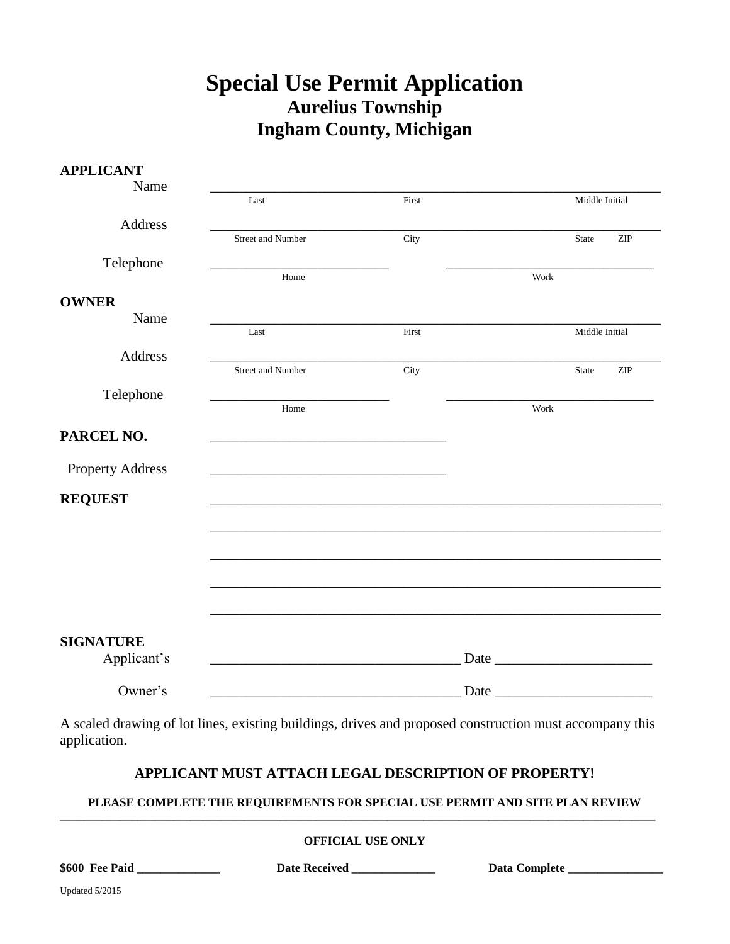# **Special Use Permit Application Aurelius Township Ingham County, Michigan**

| <b>APPLICANT</b> |                                                   |       |      |      |                |                             |
|------------------|---------------------------------------------------|-------|------|------|----------------|-----------------------------|
| Name             | $\operatorname{Last}$                             | First |      |      | Middle Initial |                             |
| Address          |                                                   |       |      |      |                |                             |
|                  | <b>Street and Number</b>                          | City  |      |      | <b>State</b>   | ZIP                         |
| Telephone        | Home                                              |       |      | Work |                |                             |
| <b>OWNER</b>     |                                                   |       |      |      |                |                             |
| Name             | Last                                              | First |      |      | Middle Initial |                             |
| Address          |                                                   |       |      |      |                |                             |
|                  | Street and Number                                 | City  |      |      | State          | $\ensuremath{\mathrm{ZIP}}$ |
| Telephone        | Home                                              |       |      | Work |                |                             |
| PARCEL NO.       |                                                   |       |      |      |                |                             |
|                  |                                                   |       |      |      |                |                             |
| Property Address |                                                   |       |      |      |                |                             |
| <b>REQUEST</b>   |                                                   |       |      |      |                |                             |
|                  |                                                   |       |      |      |                |                             |
|                  |                                                   |       |      |      |                |                             |
|                  |                                                   |       |      |      |                |                             |
|                  |                                                   |       |      |      |                |                             |
| <b>SIGNATURE</b> |                                                   |       |      |      |                |                             |
| Applicant's      | <u> 1989 - Johann Barbara, martxa alemaniar a</u> |       | Date |      |                |                             |
| Owner's          |                                                   |       | Date |      |                |                             |

A scaled drawing of lot lines, existing buildings, drives and proposed construction must accompany this application.

# **APPLICANT MUST ATTACH LEGAL DESCRIPTION OF PROPERTY!**

#### **PLEASE COMPLETE THE REQUIREMENTS FOR SPECIAL USE PERMIT AND SITE PLAN REVIEW** \_\_\_\_\_\_\_\_\_\_\_\_\_\_\_\_\_\_\_\_\_\_\_\_\_\_\_\_\_\_\_\_\_\_\_\_\_\_\_\_\_\_\_\_\_\_\_\_\_\_\_\_\_\_\_\_\_\_\_\_\_\_\_\_\_\_\_\_\_\_\_\_\_\_\_\_\_\_\_\_\_\_\_\_\_\_\_\_\_\_\_\_\_\_\_\_\_\_\_\_

**OFFICIAL USE ONLY**

|  | \$600 Fee Paid |  |
|--|----------------|--|
|  |                |  |
|  |                |  |
|  |                |  |
|  |                |  |

**\$600 Fee Paid \_\_\_\_\_\_\_\_\_\_\_\_\_\_ Date Received \_\_\_\_\_\_\_\_\_\_\_\_\_\_ Data Complete \_\_\_\_\_\_\_\_\_\_\_\_\_\_\_\_**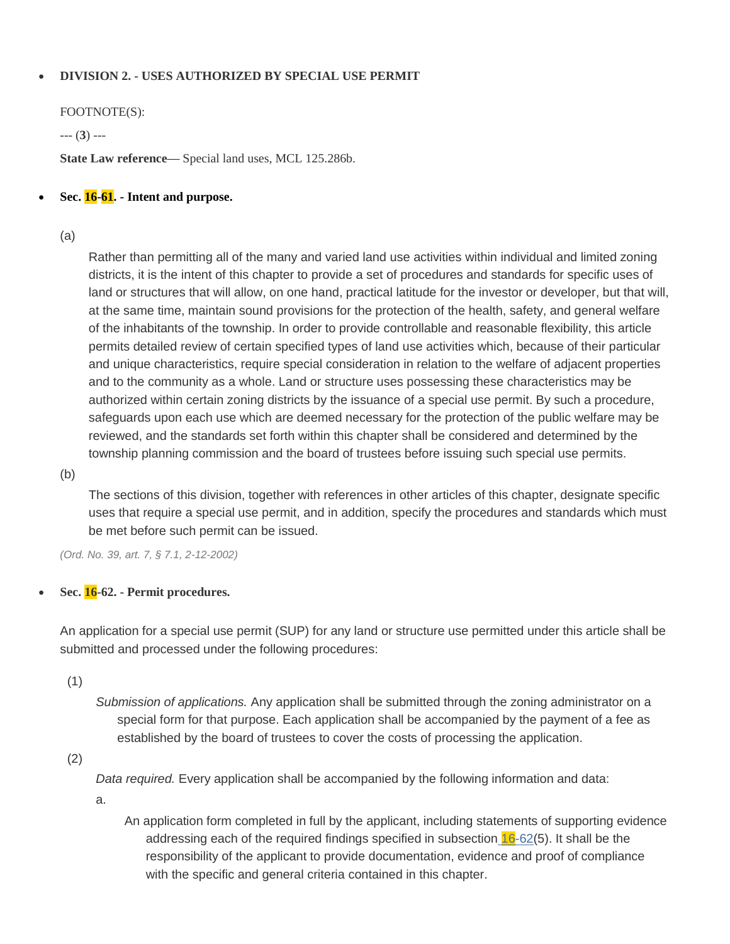# **DIVISION 2. - USES AUTHORIZED BY SPECIAL USE PERMIT**

FOOTNOTE(S):

--- (**3**) ---

**State Law reference—** Special land uses, MCL 125.286b.

## **Sec. 16-61. - Intent and purpose.**

(a)

Rather than permitting all of the many and varied land use activities within individual and limited zoning districts, it is the intent of this chapter to provide a set of procedures and standards for specific uses of land or structures that will allow, on one hand, practical latitude for the investor or developer, but that will, at the same time, maintain sound provisions for the protection of the health, safety, and general welfare of the inhabitants of the township. In order to provide controllable and reasonable flexibility, this article permits detailed review of certain specified types of land use activities which, because of their particular and unique characteristics, require special consideration in relation to the welfare of adjacent properties and to the community as a whole. Land or structure uses possessing these characteristics may be authorized within certain zoning districts by the issuance of a special use permit. By such a procedure, safeguards upon each use which are deemed necessary for the protection of the public welfare may be reviewed, and the standards set forth within this chapter shall be considered and determined by the township planning commission and the board of trustees before issuing such special use permits.

(b)

The sections of this division, together with references in other articles of this chapter, designate specific uses that require a special use permit, and in addition, specify the procedures and standards which must be met before such permit can be issued.

*(Ord. No. 39, art. 7, § 7.1, 2-12-2002)*

# **Sec. 16-62. - Permit procedures.**

An application for a special use permit (SUP) for any land or structure use permitted under this article shall be submitted and processed under the following procedures:

(1)

*Submission of applications.* Any application shall be submitted through the zoning administrator on a special form for that purpose. Each application shall be accompanied by the payment of a fee as established by the board of trustees to cover the costs of processing the application.

(2)

*Data required.* Every application shall be accompanied by the following information and data:

a.

An application form completed in full by the applicant, including statements of supporting evidence addressing each of the required findings specified in subsection  $16-62(5)$  $16-62(5)$ . It shall be the responsibility of the applicant to provide documentation, evidence and proof of compliance with the specific and general criteria contained in this chapter.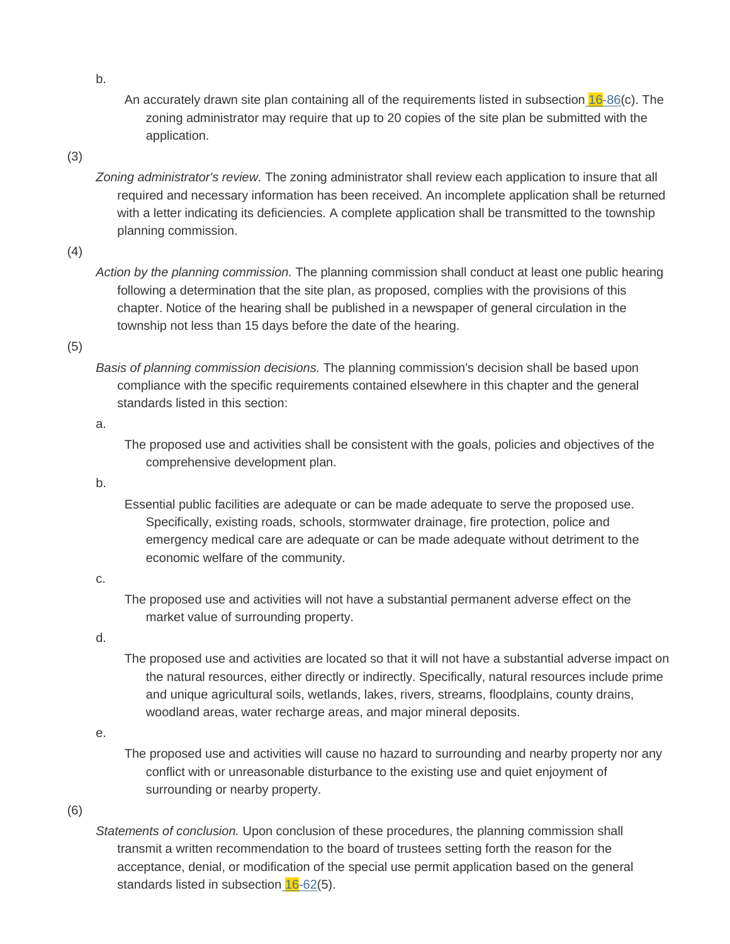An accurately drawn site plan containing all of the requirements listed in subsection [16-86\(](https://www.municode.com/library/)c). The zoning administrator may require that up to 20 copies of the site plan be submitted with the application.

#### (3)

*Zoning administrator's review.* The zoning administrator shall review each application to insure that all required and necessary information has been received. An incomplete application shall be returned with a letter indicating its deficiencies. A complete application shall be transmitted to the township planning commission.

#### (4)

*Action by the planning commission.* The planning commission shall conduct at least one public hearing following a determination that the site plan, as proposed, complies with the provisions of this chapter. Notice of the hearing shall be published in a newspaper of general circulation in the township not less than 15 days before the date of the hearing.

#### (5)

*Basis of planning commission decisions.* The planning commission's decision shall be based upon compliance with the specific requirements contained elsewhere in this chapter and the general standards listed in this section:

#### a.

The proposed use and activities shall be consistent with the goals, policies and objectives of the comprehensive development plan.

#### b.

Essential public facilities are adequate or can be made adequate to serve the proposed use. Specifically, existing roads, schools, stormwater drainage, fire protection, police and emergency medical care are adequate or can be made adequate without detriment to the economic welfare of the community.

#### c.

The proposed use and activities will not have a substantial permanent adverse effect on the market value of surrounding property.

# d.

The proposed use and activities are located so that it will not have a substantial adverse impact on the natural resources, either directly or indirectly. Specifically, natural resources include prime and unique agricultural soils, wetlands, lakes, rivers, streams, floodplains, county drains, woodland areas, water recharge areas, and major mineral deposits.

#### e.

The proposed use and activities will cause no hazard to surrounding and nearby property nor any conflict with or unreasonable disturbance to the existing use and quiet enjoyment of surrounding or nearby property.

#### (6)

*Statements of conclusion.* Upon conclusion of these procedures, the planning commission shall transmit a written recommendation to the board of trustees setting forth the reason for the acceptance, denial, or modification of the special use permit application based on the general standards listed in subsection [16-62\(](https://www.municode.com/library/)5).

b.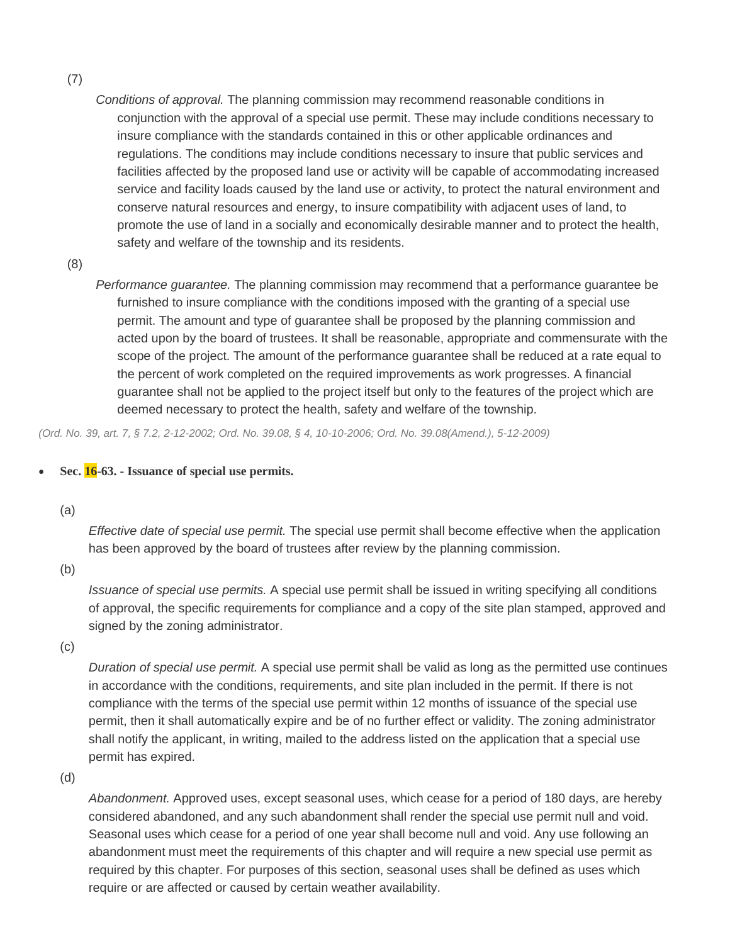(7)

*Conditions of approval.* The planning commission may recommend reasonable conditions in conjunction with the approval of a special use permit. These may include conditions necessary to insure compliance with the standards contained in this or other applicable ordinances and regulations. The conditions may include conditions necessary to insure that public services and facilities affected by the proposed land use or activity will be capable of accommodating increased service and facility loads caused by the land use or activity, to protect the natural environment and conserve natural resources and energy, to insure compatibility with adjacent uses of land, to promote the use of land in a socially and economically desirable manner and to protect the health, safety and welfare of the township and its residents.

(8)

*Performance guarantee.* The planning commission may recommend that a performance guarantee be furnished to insure compliance with the conditions imposed with the granting of a special use permit. The amount and type of guarantee shall be proposed by the planning commission and acted upon by the board of trustees. It shall be reasonable, appropriate and commensurate with the scope of the project. The amount of the performance guarantee shall be reduced at a rate equal to the percent of work completed on the required improvements as work progresses. A financial guarantee shall not be applied to the project itself but only to the features of the project which are deemed necessary to protect the health, safety and welfare of the township.

*(Ord. No. 39, art. 7, § 7.2, 2-12-2002; Ord. No. 39.08, § 4, 10-10-2006; Ord. No. 39.08(Amend.), 5-12-2009)*

#### **Sec. 16-63. - Issuance of special use permits.**

(a)

*Effective date of special use permit.* The special use permit shall become effective when the application has been approved by the board of trustees after review by the planning commission.

(b)

*Issuance of special use permits.* A special use permit shall be issued in writing specifying all conditions of approval, the specific requirements for compliance and a copy of the site plan stamped, approved and signed by the zoning administrator.

(c)

*Duration of special use permit.* A special use permit shall be valid as long as the permitted use continues in accordance with the conditions, requirements, and site plan included in the permit. If there is not compliance with the terms of the special use permit within 12 months of issuance of the special use permit, then it shall automatically expire and be of no further effect or validity. The zoning administrator shall notify the applicant, in writing, mailed to the address listed on the application that a special use permit has expired.

(d)

*Abandonment.* Approved uses, except seasonal uses, which cease for a period of 180 days, are hereby considered abandoned, and any such abandonment shall render the special use permit null and void. Seasonal uses which cease for a period of one year shall become null and void. Any use following an abandonment must meet the requirements of this chapter and will require a new special use permit as required by this chapter. For purposes of this section, seasonal uses shall be defined as uses which require or are affected or caused by certain weather availability.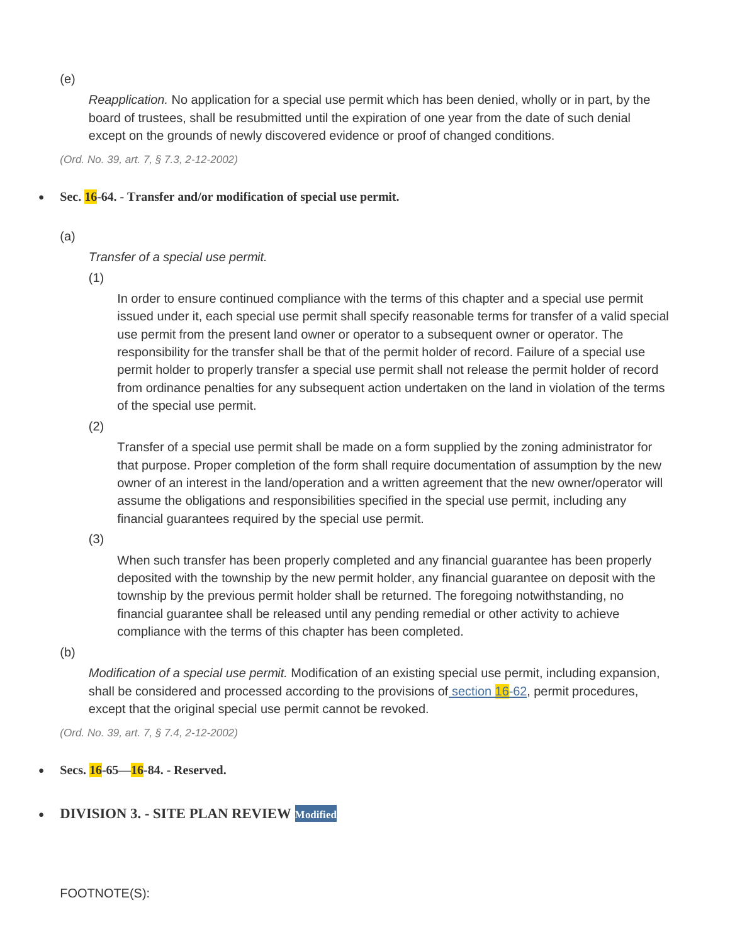(e)

*Reapplication.* No application for a special use permit which has been denied, wholly or in part, by the board of trustees, shall be resubmitted until the expiration of one year from the date of such denial except on the grounds of newly discovered evidence or proof of changed conditions.

*(Ord. No. 39, art. 7, § 7.3, 2-12-2002)*

**Sec. 16-64. - Transfer and/or modification of special use permit.**

## (a)

# *Transfer of a special use permit.*

(1)

In order to ensure continued compliance with the terms of this chapter and a special use permit issued under it, each special use permit shall specify reasonable terms for transfer of a valid special use permit from the present land owner or operator to a subsequent owner or operator. The responsibility for the transfer shall be that of the permit holder of record. Failure of a special use permit holder to properly transfer a special use permit shall not release the permit holder of record from ordinance penalties for any subsequent action undertaken on the land in violation of the terms of the special use permit.

(2)

Transfer of a special use permit shall be made on a form supplied by the zoning administrator for that purpose. Proper completion of the form shall require documentation of assumption by the new owner of an interest in the land/operation and a written agreement that the new owner/operator will assume the obligations and responsibilities specified in the special use permit, including any financial guarantees required by the special use permit.

(3)

When such transfer has been properly completed and any financial guarantee has been properly deposited with the township by the new permit holder, any financial guarantee on deposit with the township by the previous permit holder shall be returned. The foregoing notwithstanding, no financial guarantee shall be released until any pending remedial or other activity to achieve compliance with the terms of this chapter has been completed.

(b)

*Modification of a special use permit.* Modification of an existing special use permit, including expansion, shall be considered and processed according to the provisions of [section](https://www.municode.com/library/)  $16-62$ , permit procedures, except that the original special use permit cannot be revoked.

*(Ord. No. 39, art. 7, § 7.4, 2-12-2002)*

- **Secs. 16-65—16-84. - Reserved.**
- **DIVISION 3. - SITE PLAN REVIEW Modified**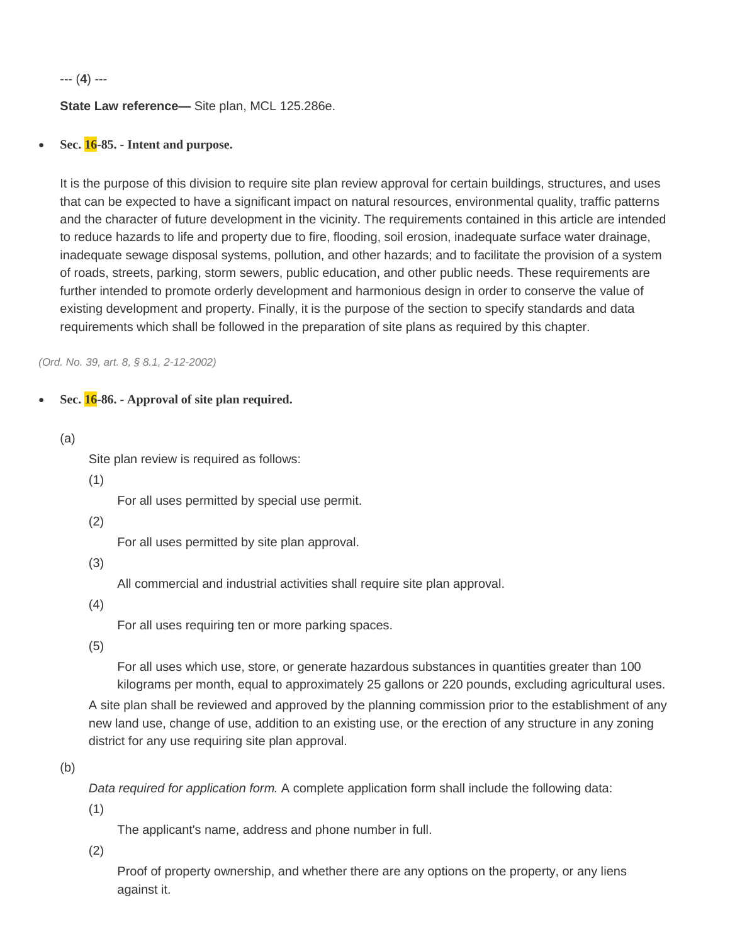--- (**4**) ---

## **State Law reference—** Site plan, MCL 125.286e.

**Sec. 16-85. - Intent and purpose.**

It is the purpose of this division to require site plan review approval for certain buildings, structures, and uses that can be expected to have a significant impact on natural resources, environmental quality, traffic patterns and the character of future development in the vicinity. The requirements contained in this article are intended to reduce hazards to life and property due to fire, flooding, soil erosion, inadequate surface water drainage, inadequate sewage disposal systems, pollution, and other hazards; and to facilitate the provision of a system of roads, streets, parking, storm sewers, public education, and other public needs. These requirements are further intended to promote orderly development and harmonious design in order to conserve the value of existing development and property. Finally, it is the purpose of the section to specify standards and data requirements which shall be followed in the preparation of site plans as required by this chapter.

*(Ord. No. 39, art. 8, § 8.1, 2-12-2002)*

# **Sec. 16-86. - Approval of site plan required.**

(a)

Site plan review is required as follows:

(1)

For all uses permitted by special use permit.

(2)

For all uses permitted by site plan approval.

(3)

All commercial and industrial activities shall require site plan approval.

(4)

For all uses requiring ten or more parking spaces.

(5)

For all uses which use, store, or generate hazardous substances in quantities greater than 100 kilograms per month, equal to approximately 25 gallons or 220 pounds, excluding agricultural uses.

A site plan shall be reviewed and approved by the planning commission prior to the establishment of any new land use, change of use, addition to an existing use, or the erection of any structure in any zoning district for any use requiring site plan approval.

(b)

*Data required for application form.* A complete application form shall include the following data:

(1)

The applicant's name, address and phone number in full.

(2)

Proof of property ownership, and whether there are any options on the property, or any liens against it.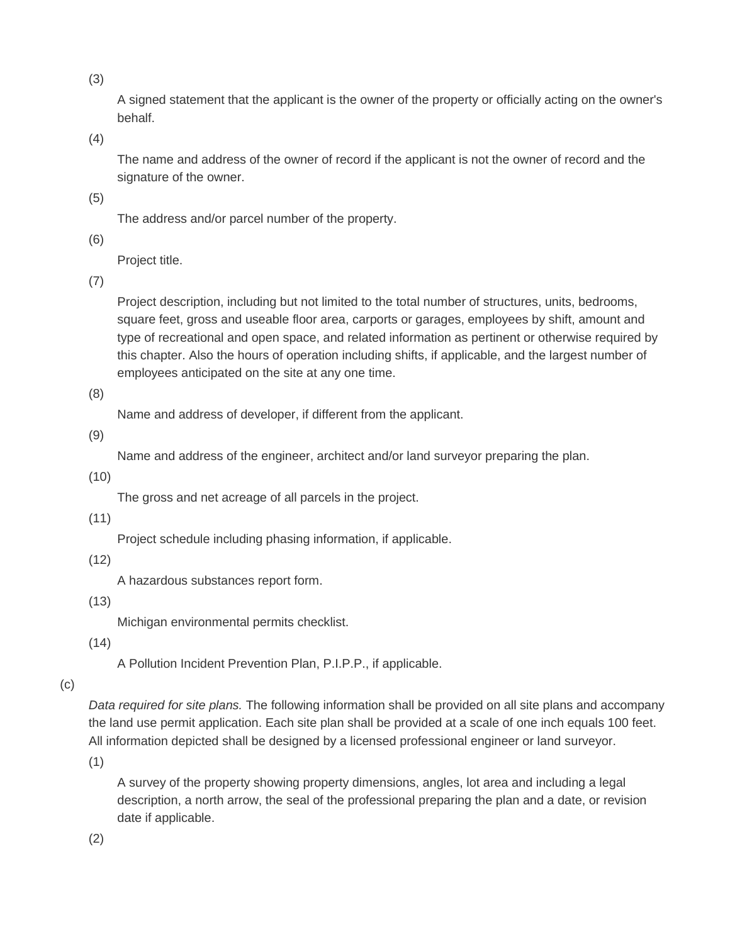(3)

A signed statement that the applicant is the owner of the property or officially acting on the owner's behalf.

(4)

The name and address of the owner of record if the applicant is not the owner of record and the signature of the owner.

(5)

The address and/or parcel number of the property.

(6)

Project title.

(7)

Project description, including but not limited to the total number of structures, units, bedrooms, square feet, gross and useable floor area, carports or garages, employees by shift, amount and type of recreational and open space, and related information as pertinent or otherwise required by this chapter. Also the hours of operation including shifts, if applicable, and the largest number of employees anticipated on the site at any one time.

(8)

Name and address of developer, if different from the applicant.

(9)

Name and address of the engineer, architect and/or land surveyor preparing the plan.

(10)

The gross and net acreage of all parcels in the project.

(11)

Project schedule including phasing information, if applicable.

(12)

A hazardous substances report form.

(13)

Michigan environmental permits checklist.

(14)

A Pollution Incident Prevention Plan, P.I.P.P., if applicable.

(c)

*Data required for site plans.* The following information shall be provided on all site plans and accompany the land use permit application. Each site plan shall be provided at a scale of one inch equals 100 feet. All information depicted shall be designed by a licensed professional engineer or land surveyor.

(1)

A survey of the property showing property dimensions, angles, lot area and including a legal description, a north arrow, the seal of the professional preparing the plan and a date, or revision date if applicable.

(2)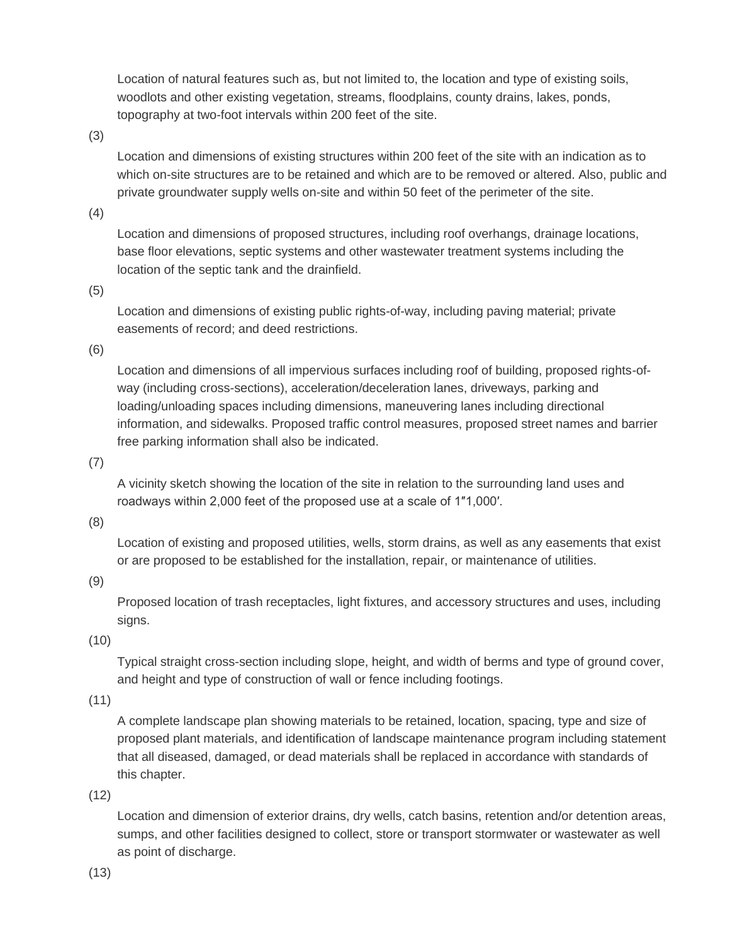Location of natural features such as, but not limited to, the location and type of existing soils, woodlots and other existing vegetation, streams, floodplains, county drains, lakes, ponds, topography at two-foot intervals within 200 feet of the site.

(3)

Location and dimensions of existing structures within 200 feet of the site with an indication as to which on-site structures are to be retained and which are to be removed or altered. Also, public and private groundwater supply wells on-site and within 50 feet of the perimeter of the site.

(4)

Location and dimensions of proposed structures, including roof overhangs, drainage locations, base floor elevations, septic systems and other wastewater treatment systems including the location of the septic tank and the drainfield.

(5)

Location and dimensions of existing public rights-of-way, including paving material; private easements of record; and deed restrictions.

(6)

Location and dimensions of all impervious surfaces including roof of building, proposed rights-ofway (including cross-sections), acceleration/deceleration lanes, driveways, parking and loading/unloading spaces including dimensions, maneuvering lanes including directional information, and sidewalks. Proposed traffic control measures, proposed street names and barrier free parking information shall also be indicated.

(7)

A vicinity sketch showing the location of the site in relation to the surrounding land uses and roadways within 2,000 feet of the proposed use at a scale of 1″1,000′.

(8)

Location of existing and proposed utilities, wells, storm drains, as well as any easements that exist or are proposed to be established for the installation, repair, or maintenance of utilities.

(9)

Proposed location of trash receptacles, light fixtures, and accessory structures and uses, including signs.

(10)

Typical straight cross-section including slope, height, and width of berms and type of ground cover, and height and type of construction of wall or fence including footings.

(11)

A complete landscape plan showing materials to be retained, location, spacing, type and size of proposed plant materials, and identification of landscape maintenance program including statement that all diseased, damaged, or dead materials shall be replaced in accordance with standards of this chapter.

(12)

Location and dimension of exterior drains, dry wells, catch basins, retention and/or detention areas, sumps, and other facilities designed to collect, store or transport stormwater or wastewater as well as point of discharge.

(13)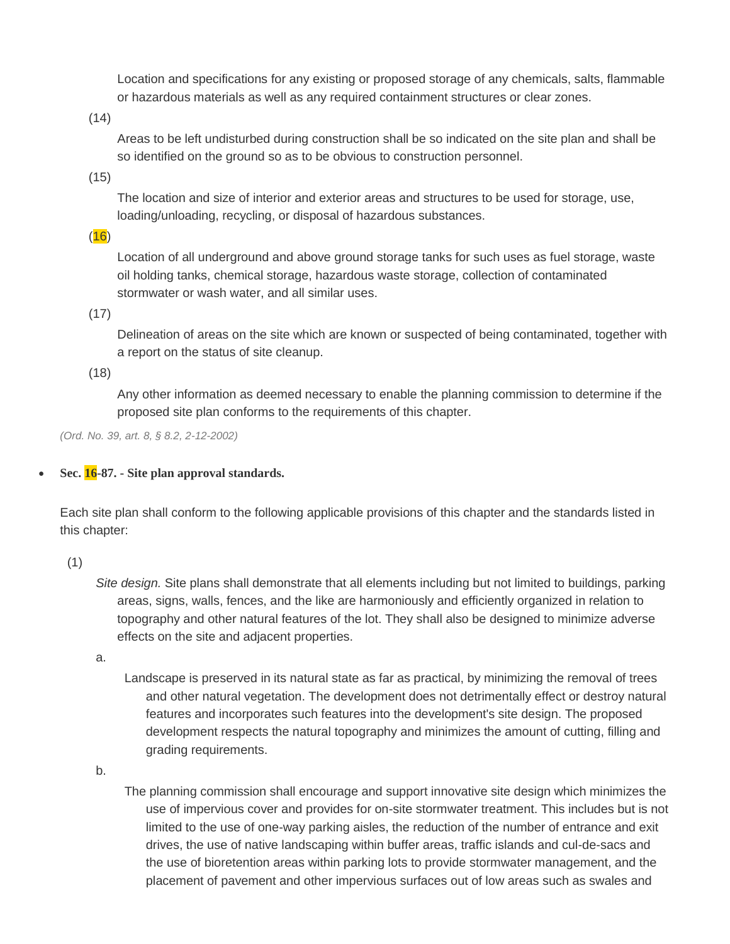Location and specifications for any existing or proposed storage of any chemicals, salts, flammable or hazardous materials as well as any required containment structures or clear zones.

(14)

Areas to be left undisturbed during construction shall be so indicated on the site plan and shall be so identified on the ground so as to be obvious to construction personnel.

(15)

The location and size of interior and exterior areas and structures to be used for storage, use, loading/unloading, recycling, or disposal of hazardous substances.

 $(16)$ 

Location of all underground and above ground storage tanks for such uses as fuel storage, waste oil holding tanks, chemical storage, hazardous waste storage, collection of contaminated stormwater or wash water, and all similar uses.

(17)

Delineation of areas on the site which are known or suspected of being contaminated, together with a report on the status of site cleanup.

(18)

Any other information as deemed necessary to enable the planning commission to determine if the proposed site plan conforms to the requirements of this chapter.

*(Ord. No. 39, art. 8, § 8.2, 2-12-2002)*

**Sec. 16-87. - Site plan approval standards.**

Each site plan shall conform to the following applicable provisions of this chapter and the standards listed in this chapter:

(1)

*Site design.* Site plans shall demonstrate that all elements including but not limited to buildings, parking areas, signs, walls, fences, and the like are harmoniously and efficiently organized in relation to topography and other natural features of the lot. They shall also be designed to minimize adverse effects on the site and adjacent properties.

a.

Landscape is preserved in its natural state as far as practical, by minimizing the removal of trees and other natural vegetation. The development does not detrimentally effect or destroy natural features and incorporates such features into the development's site design. The proposed development respects the natural topography and minimizes the amount of cutting, filling and grading requirements.

b.

The planning commission shall encourage and support innovative site design which minimizes the use of impervious cover and provides for on-site stormwater treatment. This includes but is not limited to the use of one-way parking aisles, the reduction of the number of entrance and exit drives, the use of native landscaping within buffer areas, traffic islands and cul-de-sacs and the use of bioretention areas within parking lots to provide stormwater management, and the placement of pavement and other impervious surfaces out of low areas such as swales and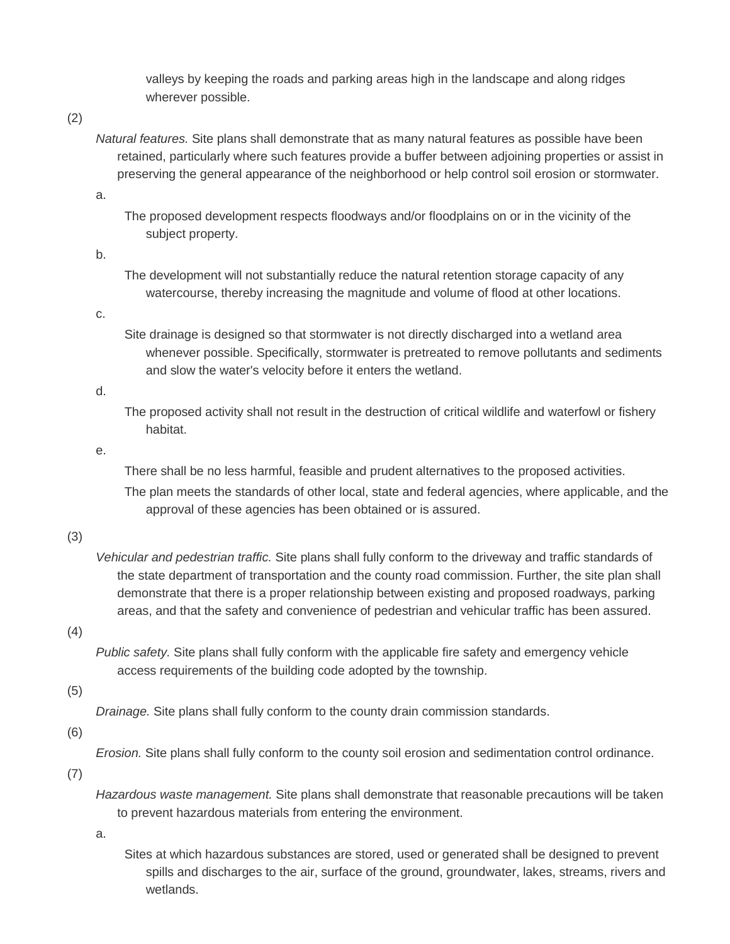valleys by keeping the roads and parking areas high in the landscape and along ridges wherever possible.

## (2)

*Natural features.* Site plans shall demonstrate that as many natural features as possible have been retained, particularly where such features provide a buffer between adjoining properties or assist in preserving the general appearance of the neighborhood or help control soil erosion or stormwater.

a.

The proposed development respects floodways and/or floodplains on or in the vicinity of the subject property.

#### b.

The development will not substantially reduce the natural retention storage capacity of any watercourse, thereby increasing the magnitude and volume of flood at other locations.

#### c.

Site drainage is designed so that stormwater is not directly discharged into a wetland area whenever possible. Specifically, stormwater is pretreated to remove pollutants and sediments and slow the water's velocity before it enters the wetland.

## d.

The proposed activity shall not result in the destruction of critical wildlife and waterfowl or fishery habitat.

#### e.

There shall be no less harmful, feasible and prudent alternatives to the proposed activities. The plan meets the standards of other local, state and federal agencies, where applicable, and the approval of these agencies has been obtained or is assured.

# (3)

*Vehicular and pedestrian traffic.* Site plans shall fully conform to the driveway and traffic standards of the state department of transportation and the county road commission. Further, the site plan shall demonstrate that there is a proper relationship between existing and proposed roadways, parking areas, and that the safety and convenience of pedestrian and vehicular traffic has been assured.

# (4)

*Public safety.* Site plans shall fully conform with the applicable fire safety and emergency vehicle access requirements of the building code adopted by the township.

# (5)

*Drainage.* Site plans shall fully conform to the county drain commission standards.

# (6)

*Erosion.* Site plans shall fully conform to the county soil erosion and sedimentation control ordinance.

(7)

*Hazardous waste management.* Site plans shall demonstrate that reasonable precautions will be taken to prevent hazardous materials from entering the environment.

a.

Sites at which hazardous substances are stored, used or generated shall be designed to prevent spills and discharges to the air, surface of the ground, groundwater, lakes, streams, rivers and wetlands.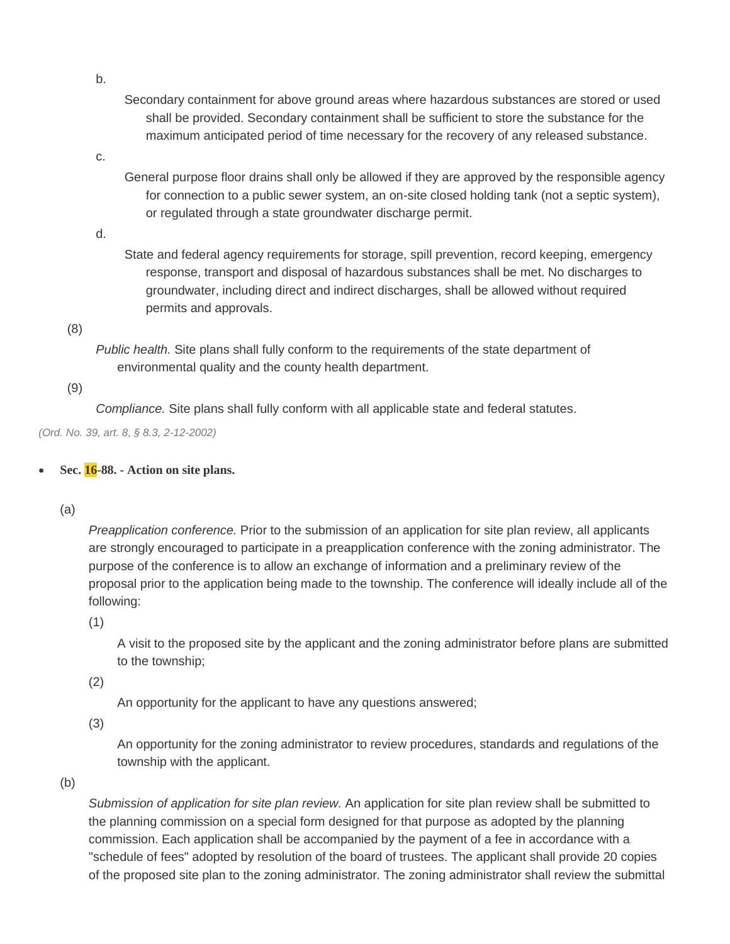Secondary containment for above ground areas where hazardous substances are stored or used shall be provided. Secondary containment shall be sufficient to store the substance for the maximum anticipated period of time necessary for the recovery of any released substance.

c.

General purpose floor drains shall only be allowed if they are approved by the responsible agency for connection to a public sewer system, an on-site closed holding tank (not a septic system), or regulated through a state groundwater discharge permit.

d.

State and federal agency requirements for storage, spill prevention, record keeping, emergency response, transport and disposal of hazardous substances shall be met. No discharges to groundwater, including direct and indirect discharges, shall be allowed without required permits and approvals.

(8)

*Public health.* Site plans shall fully conform to the requirements of the state department of environmental quality and the county health department.

(9)

*Compliance.* Site plans shall fully conform with all applicable state and federal statutes.

*(Ord. No. 39, art. 8, § 8.3, 2-12-2002)*

**Sec. 16-88. - Action on site plans.**

(a)

*Preapplication conference.* Prior to the submission of an application for site plan review, all applicants are strongly encouraged to participate in a preapplication conference with the zoning administrator. The purpose of the conference is to allow an exchange of information and a preliminary review of the proposal prior to the application being made to the township. The conference will ideally include all of the following:

(1)

A visit to the proposed site by the applicant and the zoning administrator before plans are submitted to the township;

(2)

An opportunity for the applicant to have any questions answered;

(3)

An opportunity for the zoning administrator to review procedures, standards and regulations of the township with the applicant.

(b)

*Submission of application for site plan review.* An application for site plan review shall be submitted to the planning commission on a special form designed for that purpose as adopted by the planning commission. Each application shall be accompanied by the payment of a fee in accordance with a "schedule of fees" adopted by resolution of the board of trustees. The applicant shall provide 20 copies of the proposed site plan to the zoning administrator. The zoning administrator shall review the submittal

b.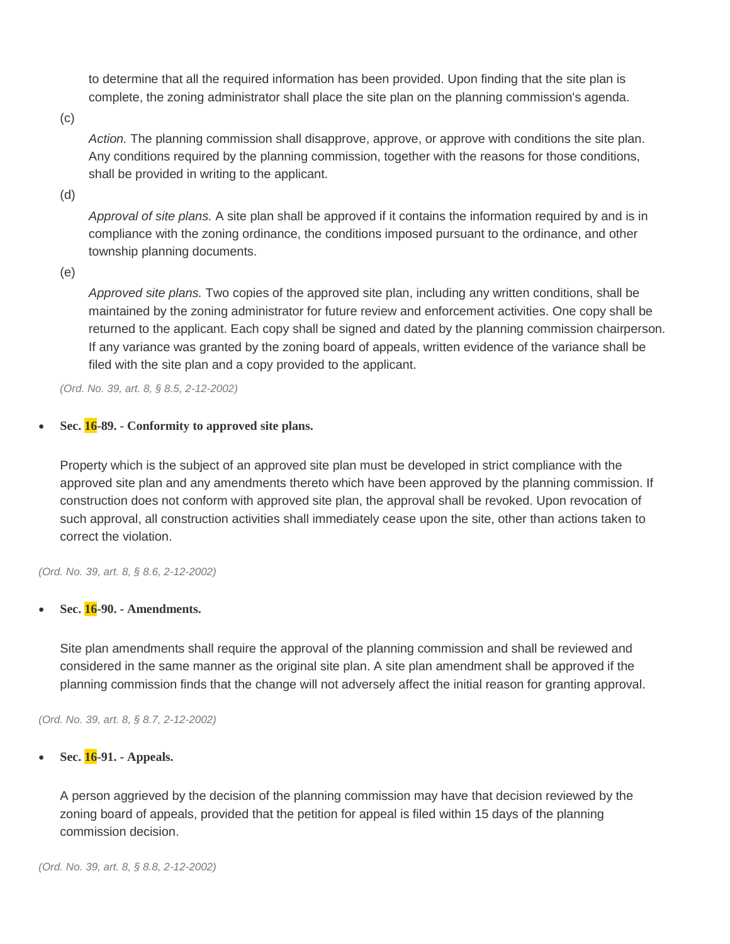to determine that all the required information has been provided. Upon finding that the site plan is complete, the zoning administrator shall place the site plan on the planning commission's agenda.

(c)

*Action.* The planning commission shall disapprove, approve, or approve with conditions the site plan. Any conditions required by the planning commission, together with the reasons for those conditions, shall be provided in writing to the applicant.

(d)

*Approval of site plans.* A site plan shall be approved if it contains the information required by and is in compliance with the zoning ordinance, the conditions imposed pursuant to the ordinance, and other township planning documents.

(e)

*Approved site plans.* Two copies of the approved site plan, including any written conditions, shall be maintained by the zoning administrator for future review and enforcement activities. One copy shall be returned to the applicant. Each copy shall be signed and dated by the planning commission chairperson. If any variance was granted by the zoning board of appeals, written evidence of the variance shall be filed with the site plan and a copy provided to the applicant.

*(Ord. No. 39, art. 8, § 8.5, 2-12-2002)*

## **Sec. 16-89. - Conformity to approved site plans.**

Property which is the subject of an approved site plan must be developed in strict compliance with the approved site plan and any amendments thereto which have been approved by the planning commission. If construction does not conform with approved site plan, the approval shall be revoked. Upon revocation of such approval, all construction activities shall immediately cease upon the site, other than actions taken to correct the violation.

*(Ord. No. 39, art. 8, § 8.6, 2-12-2002)*

**Sec. 16-90. - Amendments.**

Site plan amendments shall require the approval of the planning commission and shall be reviewed and considered in the same manner as the original site plan. A site plan amendment shall be approved if the planning commission finds that the change will not adversely affect the initial reason for granting approval.

*(Ord. No. 39, art. 8, § 8.7, 2-12-2002)*

**Sec. 16-91. - Appeals.**

A person aggrieved by the decision of the planning commission may have that decision reviewed by the zoning board of appeals, provided that the petition for appeal is filed within 15 days of the planning commission decision.